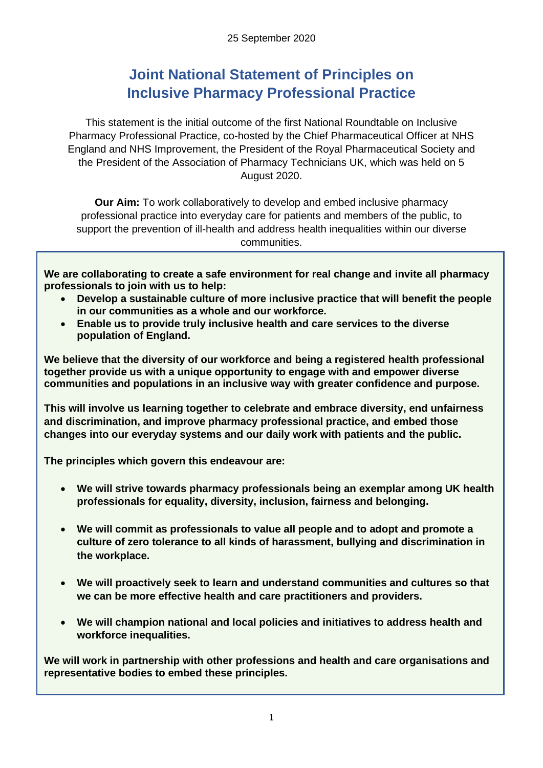## **Joint National Statement of Principles on Inclusive Pharmacy Professional Practice**

This statement is the initial outcome of the first National Roundtable on Inclusive Pharmacy Professional Practice, co-hosted by the Chief Pharmaceutical Officer at NHS England and NHS Improvement, the President of the Royal Pharmaceutical Society and the President of the Association of Pharmacy Technicians UK, which was held on 5 August 2020.

**Our Aim:** To work collaboratively to develop and embed inclusive pharmacy professional practice into everyday care for patients and members of the public, to support the prevention of ill-health and address health inequalities within our diverse communities.

**We are collaborating to create a safe environment for real change and invite all pharmacy professionals to join with us to help:**

- **Develop a sustainable culture of more inclusive practice that will benefit the people in our communities as a whole and our workforce.**
- **Enable us to provide truly inclusive health and care services to the diverse population of England.**

**We believe that the diversity of our workforce and being a registered health professional together provide us with a unique opportunity to engage with and empower diverse communities and populations in an inclusive way with greater confidence and purpose.** 

**This will involve us learning together to celebrate and embrace diversity, end unfairness and discrimination, and improve pharmacy professional practice, and embed those changes into our everyday systems and our daily work with patients and the public.**

**The principles which govern this endeavour are:**

- **We will strive towards pharmacy professionals being an exemplar among UK health professionals for equality, diversity, inclusion, fairness and belonging.**
- **We will commit as professionals to value all people and to adopt and promote a culture of zero tolerance to all kinds of harassment, bullying and discrimination in the workplace.**
- **We will proactively seek to learn and understand communities and cultures so that we can be more effective health and care practitioners and providers.**
- **We will champion national and local policies and initiatives to address health and workforce inequalities.**

**We will work in partnership with other professions and health and care organisations and representative bodies to embed these principles.**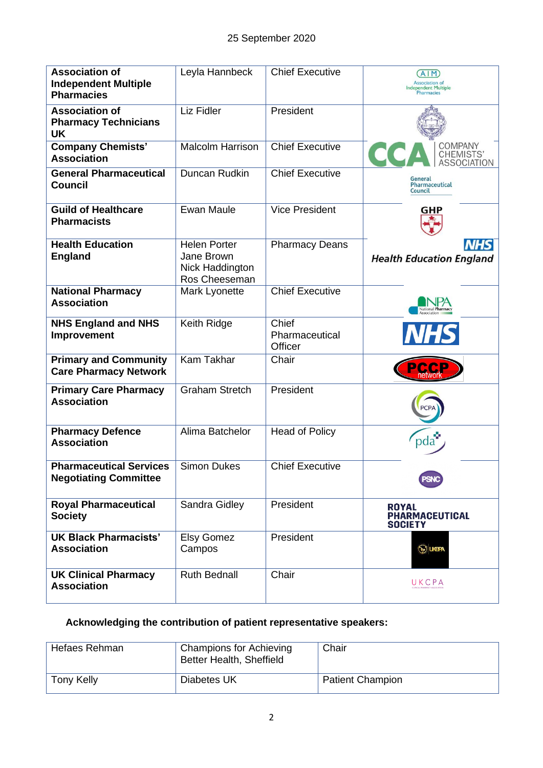| <b>Association of</b><br><b>Independent Multiple</b><br><b>Pharmacies</b> | Leyla Hannbeck                                                        | <b>Chief Executive</b>             | (AIM)<br><b>Association of</b><br>Independent Multiple<br><b>Pharmacies</b> |
|---------------------------------------------------------------------------|-----------------------------------------------------------------------|------------------------------------|-----------------------------------------------------------------------------|
| <b>Association of</b><br><b>Pharmacy Technicians</b><br><b>UK</b>         | <b>Liz Fidler</b>                                                     | President                          |                                                                             |
| <b>Company Chemists'</b><br><b>Association</b>                            | <b>Malcolm Harrison</b>                                               | <b>Chief Executive</b>             | COMPANY<br>CHEMISTS'<br><b>ASSOCIATION</b>                                  |
| <b>General Pharmaceutical</b><br><b>Council</b>                           | Duncan Rudkin                                                         | <b>Chief Executive</b>             | General<br>Pharmaceutical<br>Council                                        |
| <b>Guild of Healthcare</b><br><b>Pharmacists</b>                          | <b>Ewan Maule</b>                                                     | <b>Vice President</b>              | <b>GHP</b>                                                                  |
| <b>Health Education</b><br><b>England</b>                                 | <b>Helen Porter</b><br>Jane Brown<br>Nick Haddington<br>Ros Cheeseman | <b>Pharmacy Deans</b>              | <b>NHS</b><br><b>Health Education England</b>                               |
| <b>National Pharmacy</b><br><b>Association</b>                            | Mark Lyonette                                                         | <b>Chief Executive</b>             |                                                                             |
| <b>NHS England and NHS</b><br>Improvement                                 | Keith Ridge                                                           | Chief<br>Pharmaceutical<br>Officer | <b>NHS</b>                                                                  |
| <b>Primary and Community</b><br><b>Care Pharmacy Network</b>              | <b>Kam Takhar</b>                                                     | Chair                              | PC <sup>(</sup>                                                             |
| <b>Primary Care Pharmacy</b><br><b>Association</b>                        | <b>Graham Stretch</b>                                                 | President                          |                                                                             |
| <b>Pharmacy Defence</b><br><b>Association</b>                             | Alima Batchelor                                                       | <b>Head of Policy</b>              | oda                                                                         |
| <b>Pharmaceutical Services</b><br><b>Negotiating Committee</b>            | <b>Simon Dukes</b>                                                    | <b>Chief Executive</b>             | <b>PSNC</b>                                                                 |
| <b>Royal Pharmaceutical</b><br><b>Society</b>                             | Sandra Gidley                                                         | President                          | <b>ROYAL</b><br>PHARMACEUTICAL<br><b>SOCIETY</b>                            |
| <b>UK Black Pharmacists'</b><br><b>Association</b>                        | <b>Elsy Gomez</b><br>Campos                                           | President                          | <b>SUGRA</b>                                                                |
| <b>UK Clinical Pharmacy</b><br><b>Association</b>                         | <b>Ruth Bednall</b>                                                   | Chair                              | UKCPA                                                                       |

## **Acknowledging the contribution of patient representative speakers:**

| Hefaes Rehman | <b>Champions for Achieving</b><br>Better Health, Sheffield | Chair                   |
|---------------|------------------------------------------------------------|-------------------------|
| Tony Kelly    | Diabetes UK                                                | <b>Patient Champion</b> |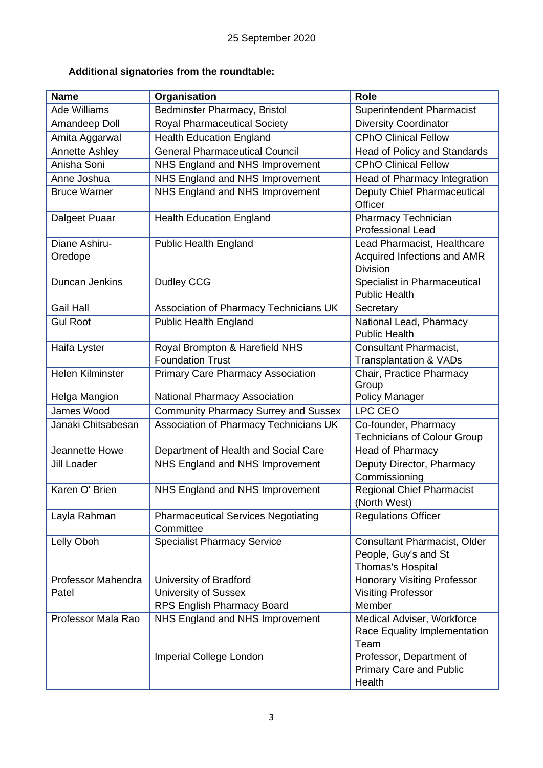## **Additional signatories from the roundtable:**

| <b>Name</b>              | Organisation                                            | <b>Role</b>                                                                      |
|--------------------------|---------------------------------------------------------|----------------------------------------------------------------------------------|
| <b>Ade Williams</b>      | Bedminster Pharmacy, Bristol                            | <b>Superintendent Pharmacist</b>                                                 |
| Amandeep Doll            | <b>Royal Pharmaceutical Society</b>                     | <b>Diversity Coordinator</b>                                                     |
| Amita Aggarwal           | <b>Health Education England</b>                         | <b>CPhO Clinical Fellow</b>                                                      |
| <b>Annette Ashley</b>    | <b>General Pharmaceutical Council</b>                   | <b>Head of Policy and Standards</b>                                              |
| Anisha Soni              | NHS England and NHS Improvement                         | <b>CPhO Clinical Fellow</b>                                                      |
| Anne Joshua              | NHS England and NHS Improvement                         | Head of Pharmacy Integration                                                     |
| <b>Bruce Warner</b>      | NHS England and NHS Improvement                         | <b>Deputy Chief Pharmaceutical</b><br>Officer                                    |
| Dalgeet Puaar            | <b>Health Education England</b>                         | <b>Pharmacy Technician</b><br><b>Professional Lead</b>                           |
| Diane Ashiru-<br>Oredope | <b>Public Health England</b>                            | Lead Pharmacist, Healthcare<br>Acquired Infections and AMR<br><b>Division</b>    |
| Duncan Jenkins           | Dudley CCG                                              | Specialist in Pharmaceutical<br><b>Public Health</b>                             |
| <b>Gail Hall</b>         | Association of Pharmacy Technicians UK                  | Secretary                                                                        |
| <b>Gul Root</b>          | <b>Public Health England</b>                            | National Lead, Pharmacy<br><b>Public Health</b>                                  |
| Haifa Lyster             | Royal Brompton & Harefield NHS                          | Consultant Pharmacist,                                                           |
|                          | <b>Foundation Trust</b>                                 | <b>Transplantation &amp; VADs</b>                                                |
| Helen Kilminster         | <b>Primary Care Pharmacy Association</b>                | Chair, Practice Pharmacy<br>Group                                                |
| Helga Mangion            | <b>National Pharmacy Association</b>                    | Policy Manager                                                                   |
| James Wood               | <b>Community Pharmacy Surrey and Sussex</b>             | LPC CEO                                                                          |
| Janaki Chitsabesan       | Association of Pharmacy Technicians UK                  | Co-founder, Pharmacy<br><b>Technicians of Colour Group</b>                       |
| Jeannette Howe           | Department of Health and Social Care                    | <b>Head of Pharmacy</b>                                                          |
| <b>Jill Loader</b>       | NHS England and NHS Improvement                         | Deputy Director, Pharmacy<br>Commissioning                                       |
| Karen O' Brien           | NHS England and NHS Improvement                         | <b>Regional Chief Pharmacist</b><br>(North West)                                 |
| Layla Rahman             | <b>Pharmaceutical Services Negotiating</b><br>Committee | <b>Regulations Officer</b>                                                       |
| Lelly Oboh               | <b>Specialist Pharmacy Service</b>                      | <b>Consultant Pharmacist, Older</b><br>People, Guy's and St<br>Thomas's Hospital |
| Professor Mahendra       | University of Bradford                                  | <b>Honorary Visiting Professor</b>                                               |
| Patel                    | <b>University of Sussex</b>                             | <b>Visiting Professor</b>                                                        |
|                          | RPS English Pharmacy Board                              | Member                                                                           |
| Professor Mala Rao       | NHS England and NHS Improvement                         | Medical Adviser, Workforce<br>Race Equality Implementation<br>Team               |
|                          | Imperial College London                                 | Professor, Department of<br><b>Primary Care and Public</b><br>Health             |